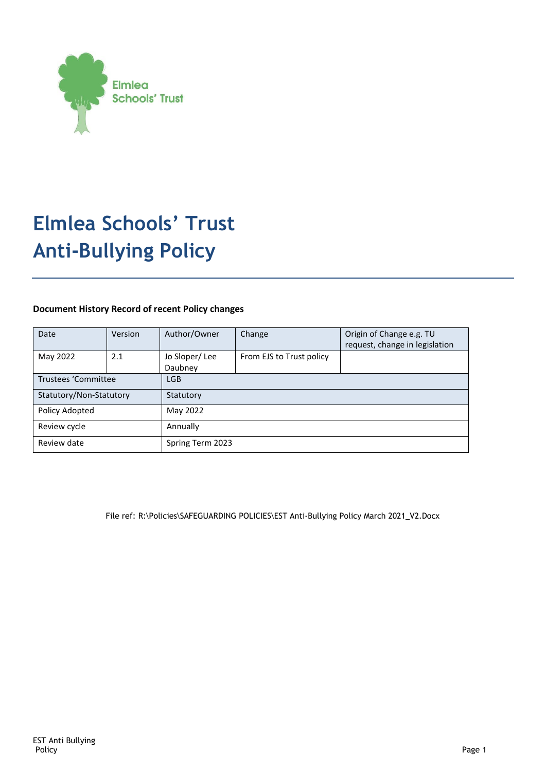

# **Elmlea Schools' Trust Anti-Bullying Policy**

# **Document History Record of recent Policy changes**

| Date                       | Version | Author/Owner             | Change                   | Origin of Change e.g. TU<br>request, change in legislation |
|----------------------------|---------|--------------------------|--------------------------|------------------------------------------------------------|
| May 2022                   | 2.1     | Jo Sloper/Lee<br>Daubney | From EJS to Trust policy |                                                            |
| <b>Trustees 'Committee</b> |         | <b>LGB</b>               |                          |                                                            |
| Statutory/Non-Statutory    |         | Statutory                |                          |                                                            |
| Policy Adopted             |         | May 2022                 |                          |                                                            |
| Review cycle               |         | Annually                 |                          |                                                            |
| Review date                |         | Spring Term 2023         |                          |                                                            |

File ref: R:\Policies\SAFEGUARDING POLICIES\EST Anti-Bullying Policy March 2021\_V2.Docx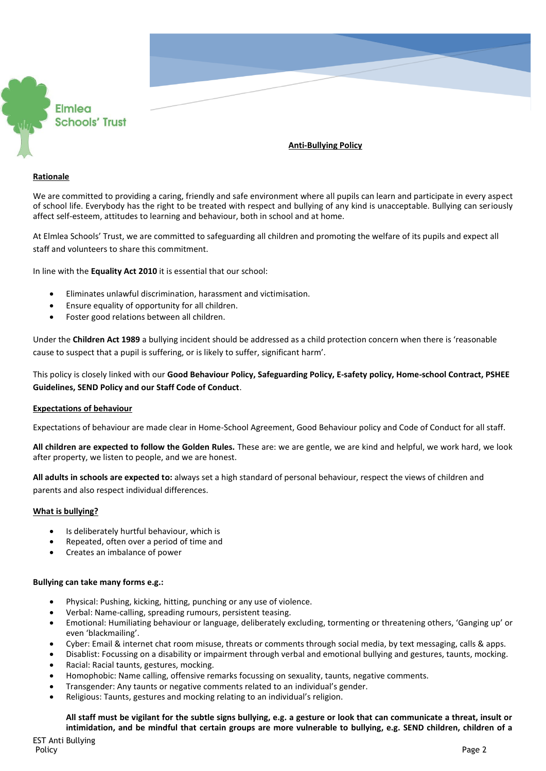

# **Anti-Bullying Policy**

#### **Rationale**

We are committed to providing a caring, friendly and safe environment where all pupils can learn and participate in every aspect of school life. Everybody has the right to be treated with respect and bullying of any kind is unacceptable. Bullying can seriously affect self-esteem, attitudes to learning and behaviour, both in school and at home.

At Elmlea Schools' Trust, we are committed to safeguarding all children and promoting the welfare of its pupils and expect all staff and volunteers to share this commitment.

In line with the **Equality Act 2010** it is essential that our school:

- Eliminates unlawful discrimination, harassment and victimisation.
- Ensure equality of opportunity for all children.
- Foster good relations between all children.

Under the **Children Act 1989** a bullying incident should be addressed as a child protection concern when there is 'reasonable cause to suspect that a pupil is suffering, or is likely to suffer, significant harm'.

This policy is closely linked with our **Good Behaviour Policy, Safeguarding Policy, E-safety policy, Home-school Contract, PSHEE Guidelines, SEND Policy and our Staff Code of Conduct**.

## **Expectations of behaviour**

Expectations of behaviour are made clear in Home-School Agreement, Good Behaviour policy and Code of Conduct for all staff.

**All children are expected to follow the Golden Rules.** These are: we are gentle, we are kind and helpful, we work hard, we look after property, we listen to people, and we are honest.

**All adults in schools are expected to:** always set a high standard of personal behaviour, respect the views of children and parents and also respect individual differences.

#### **What is bullying?**

- Is deliberately hurtful behaviour, which is
- Repeated, often over a period of time and
- Creates an imbalance of power

#### **Bullying can take many forms e.g.:**

- Physical: Pushing, kicking, hitting, punching or any use of violence.
- Verbal: Name-calling, spreading rumours, persistent teasing.
- Emotional: Humiliating behaviour or language, deliberately excluding, tormenting or threatening others, 'Ganging up' or even 'blackmailing'.
- Cyber: Email & internet chat room misuse, threats or comments through social media, by text messaging, calls & apps.
- Disablist: Focussing on a disability or impairment through verbal and emotional bullying and gestures, taunts, mocking.
- Racial: Racial taunts, gestures, mocking.
- Homophobic: Name calling, offensive remarks focussing on sexuality, taunts, negative comments.
- Transgender: Any taunts or negative comments related to an individual's gender.
- Religious: Taunts, gestures and mocking relating to an individual's religion.

## **All staff must be vigilant for the subtle signs bullying, e.g. a gesture or look that can communicate a threat, insult or intimidation, and be mindful that certain groups are more vulnerable to bullying, e.g. SEND children, children of a**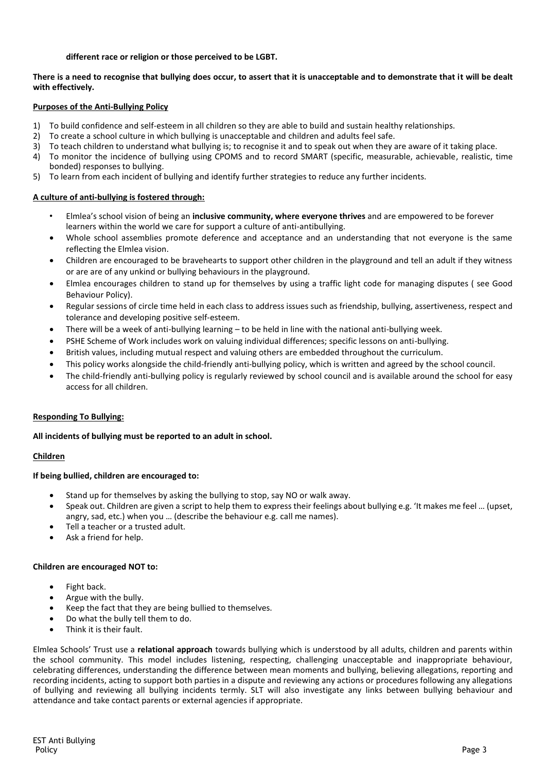## **different race or religion or those perceived to be LGBT.**

## **There is a need to recognise that bullying does occur, to assert that it is unacceptable and to demonstrate that it will be dealt with effectively.**

#### **Purposes of the Anti-Bullying Policy**

- 1) To build confidence and self-esteem in all children so they are able to build and sustain healthy relationships.
- 2) To create a school culture in which bullying is unacceptable and children and adults feel safe.
- 3) To teach children to understand what bullying is; to recognise it and to speak out when they are aware of it taking place.
- 4) To monitor the incidence of bullying using CPOMS and to record SMART (specific, measurable, achievable, realistic, time bonded) responses to bullying.
- 5) To learn from each incident of bullying and identify further strategies to reduce any further incidents.

#### **A culture of anti-bullying is fostered through:**

- Elmlea's school vision of being an **inclusive community, where everyone thrives** and are empowered to be forever learners within the world we care for support a culture of anti-antibullying.
- Whole school assemblies promote deference and acceptance and an understanding that not everyone is the same reflecting the Elmlea vision.
- Children are encouraged to be bravehearts to support other children in the playground and tell an adult if they witness or are are of any unkind or bullying behaviours in the playground.
- Elmlea encourages children to stand up for themselves by using a traffic light code for managing disputes ( see Good Behaviour Policy).
- Regular sessions of circle time held in each class to address issues such as friendship, bullying, assertiveness, respect and tolerance and developing positive self-esteem.
- There will be a week of anti-bullying learning to be held in line with the national anti-bullying week.
- PSHE Scheme of Work includes work on valuing individual differences; specific lessons on anti-bullying.
- British values, including mutual respect and valuing others are embedded throughout the curriculum.
- This policy works alongside the child-friendly anti-bullying policy, which is written and agreed by the school council.
- The child-friendly anti-bullying policy is regularly reviewed by school council and is available around the school for easy access for all children.

## **Responding To Bullying:**

#### **All incidents of bullying must be reported to an adult in school.**

## **Children**

## **If being bullied, children are encouraged to:**

- Stand up for themselves by asking the bullying to stop, say NO or walk away.
- Speak out. Children are given a script to help them to express their feelings about bullying e.g. 'It makes me feel … (upset, angry, sad, etc.) when you … (describe the behaviour e.g. call me names).
- Tell a teacher or a trusted adult.
- Ask a friend for help.

#### **Children are encouraged NOT to:**

- Fight back.
- Argue with the bully.
- Keep the fact that they are being bullied to themselves.
- Do what the bully tell them to do.
- Think it is their fault.

Elmlea Schools' Trust use a **relational approach** towards bullying which is understood by all adults, children and parents within the school community. This model includes listening, respecting, challenging unacceptable and inappropriate behaviour, celebrating differences, understanding the difference between mean moments and bullying, believing allegations, reporting and recording incidents, acting to support both parties in a dispute and reviewing any actions or procedures following any allegations of bullying and reviewing all bullying incidents termly. SLT will also investigate any links between bullying behaviour and attendance and take contact parents or external agencies if appropriate.